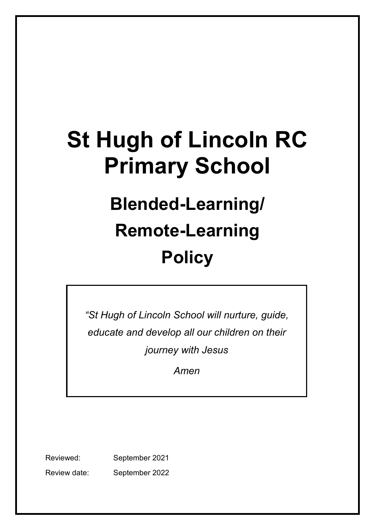# **St Hugh of Lincoln RC Primary School**

# **Blended-Learning/ Remote-Learning Policy**

*"St Hugh of Lincoln School will nurture, guide, educate and develop all our children on their journey with Jesus*

*Amen*

Reviewed: September 2021 Review date: September 2022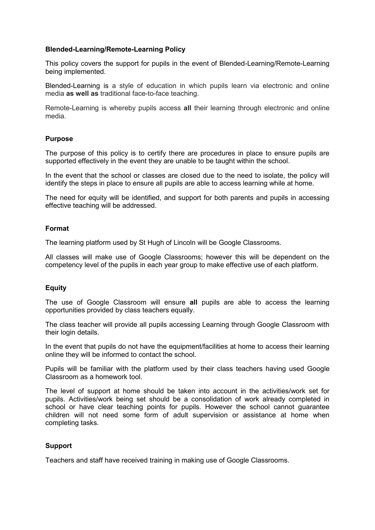## **Blended-Learning/Remote-Learning Policy**

This policy covers the support for pupils in the event of Blended-Learning/Remote-Learning being implemented.

Blended-Learning is a style of education in which pupils learn via electronic and online media **as well as** traditional face-to-face teaching.

Remote-Learning is whereby pupils access **all** their learning through electronic and online media.

#### **Purpose**

The purpose of this policy is to certify there are procedures in place to ensure pupils are supported effectively in the event they are unable to be taught within the school.

In the event that the school or classes are closed due to the need to isolate, the policy will identify the steps in place to ensure all pupils are able to access learning while at home.

The need for equity will be identified, and support for both parents and pupils in accessing effective teaching will be addressed.

#### **Format**

The learning platform used by St Hugh of Lincoln will be Google Classrooms.

All classes will make use of Google Classrooms; however this will be dependent on the competency level of the pupils in each year group to make effective use of each platform.

## **Equity**

The use of Google Classroom will ensure **all** pupils are able to access the learning opportunities provided by class teachers equally.

The class teacher will provide all pupils accessing Learning through Google Classroom with their login details.

In the event that pupils do not have the equipment/facilities at home to access their learning online they will be informed to contact the school.

Pupils will be familiar with the platform used by their class teachers having used Google Classroom as a homework tool.

The level of support at home should be taken into account in the activities/work set for pupils. Activities/work being set should be a consolidation of work already completed in school or have clear teaching points for pupils. However the school cannot guarantee children will not need some form of adult supervision or assistance at home when completing tasks.

## **Support**

Teachers and staff have received training in making use of Google Classrooms.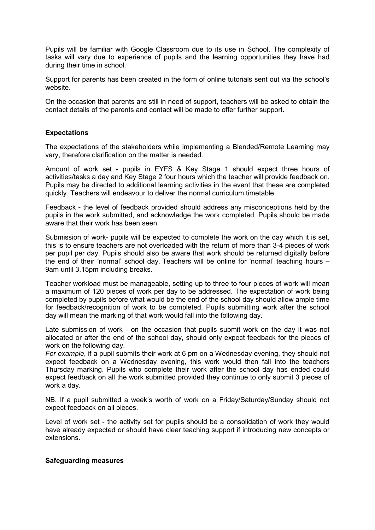Pupils will be familiar with Google Classroom due to its use in School. The complexity of tasks will vary due to experience of pupils and the learning opportunities they have had during their time in school.

Support for parents has been created in the form of online tutorials sent out via the school's website.

On the occasion that parents are still in need of support, teachers will be asked to obtain the contact details of the parents and contact will be made to offer further support.

#### **Expectations**

The expectations of the stakeholders while implementing a Blended/Remote Learning may vary, therefore clarification on the matter is needed.

Amount of work set - pupils in EYFS & Key Stage 1 should expect three hours of activities/tasks a day and Key Stage 2 four hours which the teacher will provide feedback on. Pupils may be directed to additional learning activities in the event that these are completed quickly. Teachers will endeavour to deliver the normal curriculum timetable.

Feedback - the level of feedback provided should address any misconceptions held by the pupils in the work submitted, and acknowledge the work completed. Pupils should be made aware that their work has been seen.

Submission of work- pupils will be expected to complete the work on the day which it is set, this is to ensure teachers are not overloaded with the return of more than 3-4 pieces of work per pupil per day. Pupils should also be aware that work should be returned digitally before the end of their 'normal' school day. Teachers will be online for 'normal' teaching hours – 9am until 3.15pm including breaks.

Teacher workload must be manageable, setting up to three to four pieces of work will mean a maximum of 120 pieces of work per day to be addressed. The expectation of work being completed by pupils before what would be the end of the school day should allow ample time for feedback/recognition of work to be completed. Pupils submitting work after the school day will mean the marking of that work would fall into the following day.

Late submission of work - on the occasion that pupils submit work on the day it was not allocated or after the end of the school day, should only expect feedback for the pieces of work on the following day.

*For example*, if a pupil submits their work at 6 pm on a Wednesday evening, they should not expect feedback on a Wednesday evening, this work would then fall into the teachers Thursday marking. Pupils who complete their work after the school day has ended could expect feedback on all the work submitted provided they continue to only submit 3 pieces of work a day.

NB. If a pupil submitted a week's worth of work on a Friday/Saturday/Sunday should not expect feedback on all pieces.

Level of work set - the activity set for pupils should be a consolidation of work they would have already expected or should have clear teaching support if introducing new concepts or extensions.

#### **Safeguarding measures**